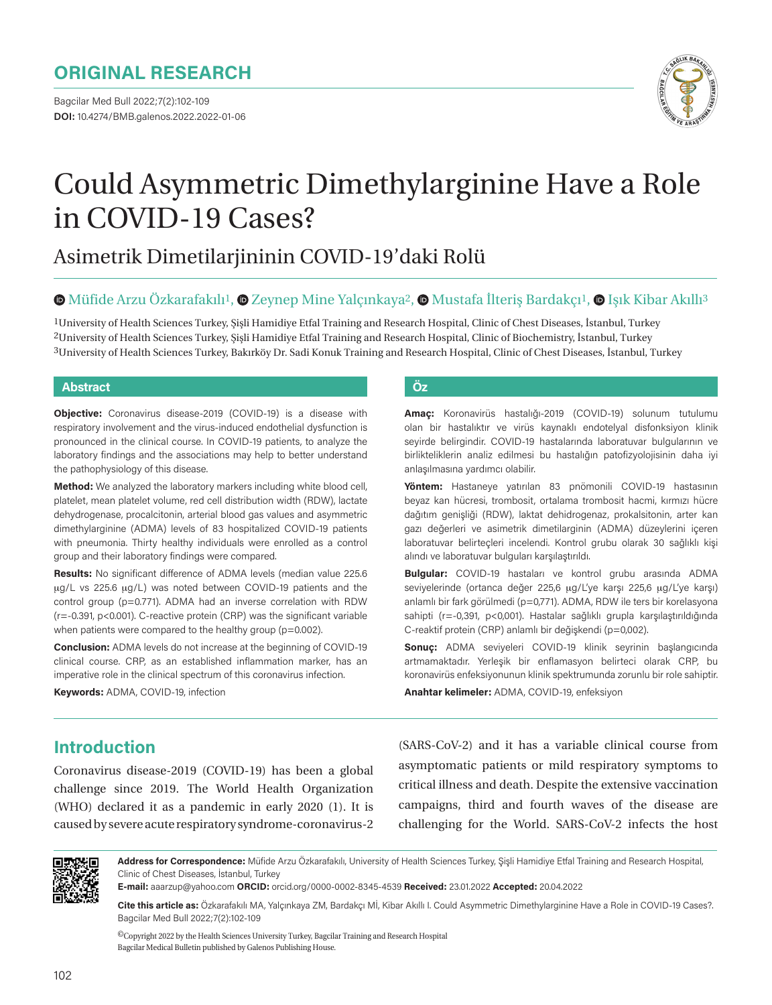Bagcilar Med Bull 2022;7(2):102-109 **DOI:** 10.4274/BMB.galenos.2022.2022-01-06



# Could Asymmetric Dimethylarginine Have a Role in COVID-19 Cases?

## Asimetrik Dimetilarjininin COVID-19'daki Rolü

#### $\bullet$ Müfide Arzu Özkarafakılı<sup>1</sup>,  $\bullet$  Zeynep Mine Yalçınkaya<sup>2</sup>,  $\bullet$  Mustafa İlteriş Bardakçı<sup>1</sup>,  $\bullet$  Işık Kibar Akıllı<sup>3</sup>

1University of Health Sciences Turkey, Şişli Hamidiye Etfal Training and Research Hospital, Clinic of Chest Diseases, İstanbul, Turkey 2University of Health Sciences Turkey, Şişli Hamidiye Etfal Training and Research Hospital, Clinic of Biochemistry, İstanbul, Turkey 3University of Health Sciences Turkey, Bakırköy Dr. Sadi Konuk Training and Research Hospital, Clinic of Chest Diseases, İstanbul, Turkey

#### **Abstract Öz**

**Objective:** Coronavirus disease-2019 (COVID-19) is a disease with respiratory involvement and the virus-induced endothelial dysfunction is pronounced in the clinical course. In COVID-19 patients, to analyze the laboratory findings and the associations may help to better understand the pathophysiology of this disease.

**Method:** We analyzed the laboratory markers including white blood cell, platelet, mean platelet volume, red cell distribution width (RDW), lactate dehydrogenase, procalcitonin, arterial blood gas values and asymmetric dimethylarginine (ADMA) levels of 83 hospitalized COVID-19 patients with pneumonia. Thirty healthy individuals were enrolled as a control group and their laboratory findings were compared.

**Results:** No significant difference of ADMA levels (median value 225.6 μg/L vs 225.6 μg/L) was noted between COVID-19 patients and the control group (p=0.771). ADMA had an inverse correlation with RDW (r=-0.391, p<0.001). C-reactive protein (CRP) was the significant variable when patients were compared to the healthy group ( $p=0.002$ ).

**Conclusion:** ADMA levels do not increase at the beginning of COVID-19 clinical course. CRP, as an established inflammation marker, has an imperative role in the clinical spectrum of this coronavirus infection.

**Keywords:** ADMA, COVID-19, infection

**Amaç:** Koronavirüs hastalığı-2019 (COVID-19) solunum tutulumu olan bir hastalıktır ve virüs kaynaklı endotelyal disfonksiyon klinik seyirde belirgindir. COVID-19 hastalarında laboratuvar bulgularının ve birlikteliklerin analiz edilmesi bu hastalığın patofizyolojisinin daha iyi anlaşılmasına yardımcı olabilir.

**Yöntem:** Hastaneye yatırılan 83 pnömonili COVID-19 hastasının beyaz kan hücresi, trombosit, ortalama trombosit hacmi, kırmızı hücre dağıtım genişliği (RDW), laktat dehidrogenaz, prokalsitonin, arter kan gazı değerleri ve asimetrik dimetilarginin (ADMA) düzeylerini içeren laboratuvar belirteçleri incelendi. Kontrol grubu olarak 30 sağlıklı kişi alındı ve laboratuvar bulguları karşılaştırıldı.

**Bulgular:** COVID-19 hastaları ve kontrol grubu arasında ADMA seviyelerinde (ortanca değer 225,6 μg/L'ye karşı 225,6 μg/L'ye karşı) anlamlı bir fark görülmedi (p=0,771). ADMA, RDW ile ters bir korelasyona sahipti (r=-0,391, p<0,001). Hastalar sağlıklı grupla karşılaştırıldığında C-reaktif protein (CRP) anlamlı bir değişkendi (p=0,002).

**Sonuç:** ADMA seviyeleri COVID-19 klinik seyrinin başlangıcında artmamaktadır. Yerleşik bir enflamasyon belirteci olarak CRP, bu koronavirüs enfeksiyonunun klinik spektrumunda zorunlu bir role sahiptir.

**Anahtar kelimeler:** ADMA, COVID-19, enfeksiyon

### **Introduction**

Coronavirus disease-2019 (COVID-19) has been a global challenge since 2019. The World Health Organization (WHO) declared it as a pandemic in early 2020 (1). It is caused by severe acute respiratory syndrome-coronavirus-2

(SARS-CoV-2) and it has a variable clinical course from asymptomatic patients or mild respiratory symptoms to critical illness and death. Despite the extensive vaccination campaigns, third and fourth waves of the disease are challenging for the World. SARS-CoV-2 infects the host



**Address for Correspondence:** Müfide Arzu Özkarafakılı, University of Health Sciences Turkey, Şişli Hamidiye Etfal Training and Research Hospital, Clinic of Chest Diseases, İstanbul, Turkey

**E-mail:** aaarzup@yahoo.com **ORCID:** orcid.org/0000-0002-8345-4539 **Received:** 23.01.2022 **Accepted:** 20.04.2022

**Cite this article as:** Özkarafakılı MA, Yalçınkaya ZM, Bardakçı Mİ, Kibar Akıllı I. Could Asymmetric Dimethylarginine Have a Role in COVID-19 Cases?. Bagcilar Med Bull 2022;7(2):102-109

 ${}^{{\sf{O}}\!}$  Copyright 2022 by the Health Sciences University Turkey, Bagcilar Training and Research Hospital Bagcilar Medical Bulletin published by Galenos Publishing House.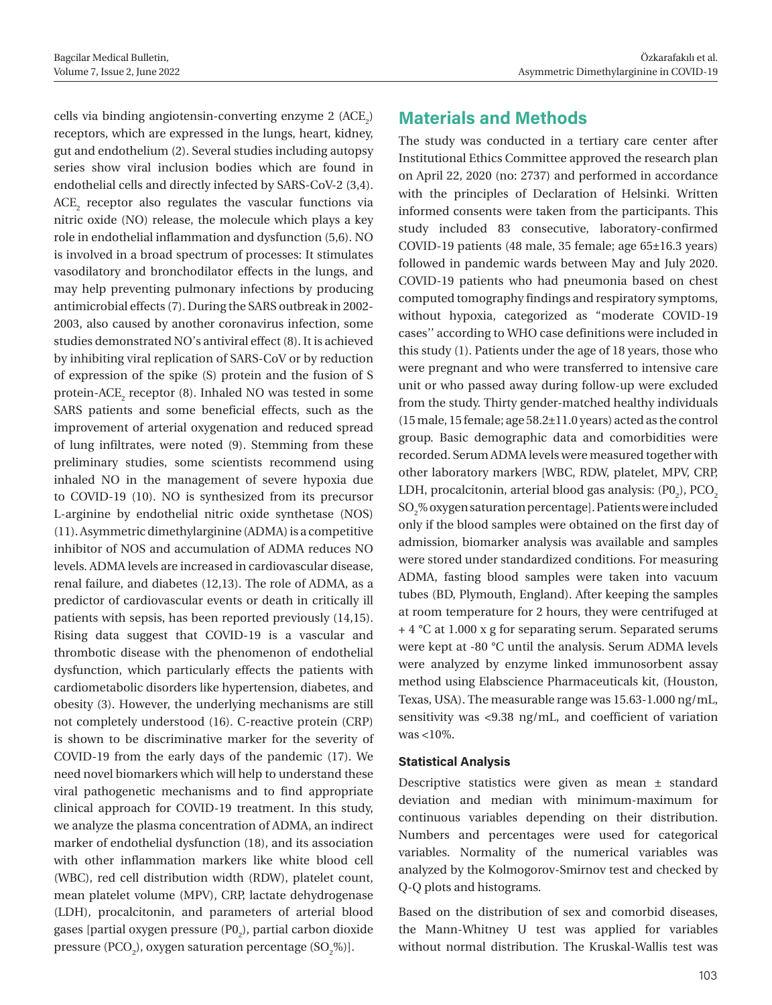cells via binding angiotensin-converting enzyme 2  $(ACE<sub>2</sub>)$ receptors, which are expressed in the lungs, heart, kidney, gut and endothelium (2). Several studies including autopsy series show viral inclusion bodies which are found in endothelial cells and directly infected by SARS-CoV-2 (3,4).  $\mathrm{ACE}_2$  receptor also regulates the vascular functions via nitric oxide (NO) release, the molecule which plays a key role in endothelial inflammation and dysfunction (5,6). NO is involved in a broad spectrum of processes: It stimulates vasodilatory and bronchodilator effects in the lungs, and may help preventing pulmonary infections by producing antimicrobial effects (7). During the SARS outbreak in 2002- 2003, also caused by another coronavirus infection, some studies demonstrated NO's antiviral effect (8). It is achieved by inhibiting viral replication of SARS-CoV or by reduction of expression of the spike (S) protein and the fusion of S protein-ACE $_2$  receptor (8). Inhaled NO was tested in some SARS patients and some beneficial effects, such as the improvement of arterial oxygenation and reduced spread of lung infiltrates, were noted (9). Stemming from these preliminary studies, some scientists recommend using inhaled NO in the management of severe hypoxia due to COVID-19 (10). NO is synthesized from its precursor L-arginine by endothelial nitric oxide synthetase (NOS) (11). Asymmetric dimethylarginine (ADMA) is a competitive inhibitor of NOS and accumulation of ADMA reduces NO levels. ADMA levels are increased in cardiovascular disease, renal failure, and diabetes (12,13). The role of ADMA, as a predictor of cardiovascular events or death in critically ill patients with sepsis, has been reported previously (14,15). Rising data suggest that COVID-19 is a vascular and thrombotic disease with the phenomenon of endothelial dysfunction, which particularly effects the patients with cardiometabolic disorders like hypertension, diabetes, and obesity (3). However, the underlying mechanisms are still not completely understood (16). C-reactive protein (CRP) is shown to be discriminative marker for the severity of COVID-19 from the early days of the pandemic (17). We need novel biomarkers which will help to understand these viral pathogenetic mechanisms and to find appropriate clinical approach for COVID-19 treatment. In this study, we analyze the plasma concentration of ADMA, an indirect marker of endothelial dysfunction (18), and its association with other inflammation markers like white blood cell (WBC), red cell distribution width (RDW), platelet count, mean platelet volume (MPV), CRP, lactate dehydrogenase (LDH), procalcitonin, and parameters of arterial blood gases [partial oxygen pressure  $(\text{P0}_2)$ , partial carbon dioxide pressure (PCO<sub>2</sub>), oxygen saturation percentage (SO<sub>2</sub>%)].

### **Materials and Methods**

The study was conducted in a tertiary care center after Institutional Ethics Committee approved the research plan on April 22, 2020 (no: 2737) and performed in accordance with the principles of Declaration of Helsinki. Written informed consents were taken from the participants. This study included 83 consecutive, laboratory-confirmed COVID-19 patients (48 male, 35 female; age 65±16.3 years) followed in pandemic wards between May and July 2020. COVID-19 patients who had pneumonia based on chest computed tomography findings and respiratory symptoms, without hypoxia, categorized as "moderate COVID-19 cases'' according to WHO case definitions were included in this study (1). Patients under the age of 18 years, those who were pregnant and who were transferred to intensive care unit or who passed away during follow-up were excluded from the study. Thirty gender-matched healthy individuals (15 male, 15 female; age 58.2±11.0 years) acted as the control group. Basic demographic data and comorbidities were recorded. Serum ADMA levels were measured together with other laboratory markers [WBC, RDW, platelet, MPV, CRP, LDH, procalcitonin, arterial blood gas analysis:  $(\text{P0}_2)$ ,  $\text{PCO}_2$ SO2 % oxygen saturation percentage]. Patients were included only if the blood samples were obtained on the first day of admission, biomarker analysis was available and samples were stored under standardized conditions. For measuring ADMA, fasting blood samples were taken into vacuum tubes (BD, Plymouth, England). After keeping the samples at room temperature for 2 hours, they were centrifuged at + 4 °C at 1.000 x g for separating serum. Separated serums were kept at -80 °C until the analysis. Serum ADMA levels were analyzed by enzyme linked immunosorbent assay method using Elabscience Pharmaceuticals kit, (Houston, Texas, USA). The measurable range was 15.63-1.000 ng/mL, sensitivity was <9.38 ng/mL, and coefficient of variation was <10%.

#### **Statistical Analysis**

Descriptive statistics were given as mean ± standard deviation and median with minimum-maximum for continuous variables depending on their distribution. Numbers and percentages were used for categorical variables. Normality of the numerical variables was analyzed by the Kolmogorov-Smirnov test and checked by Q-Q plots and histograms.

Based on the distribution of sex and comorbid diseases, the Mann-Whitney U test was applied for variables without normal distribution. The Kruskal-Wallis test was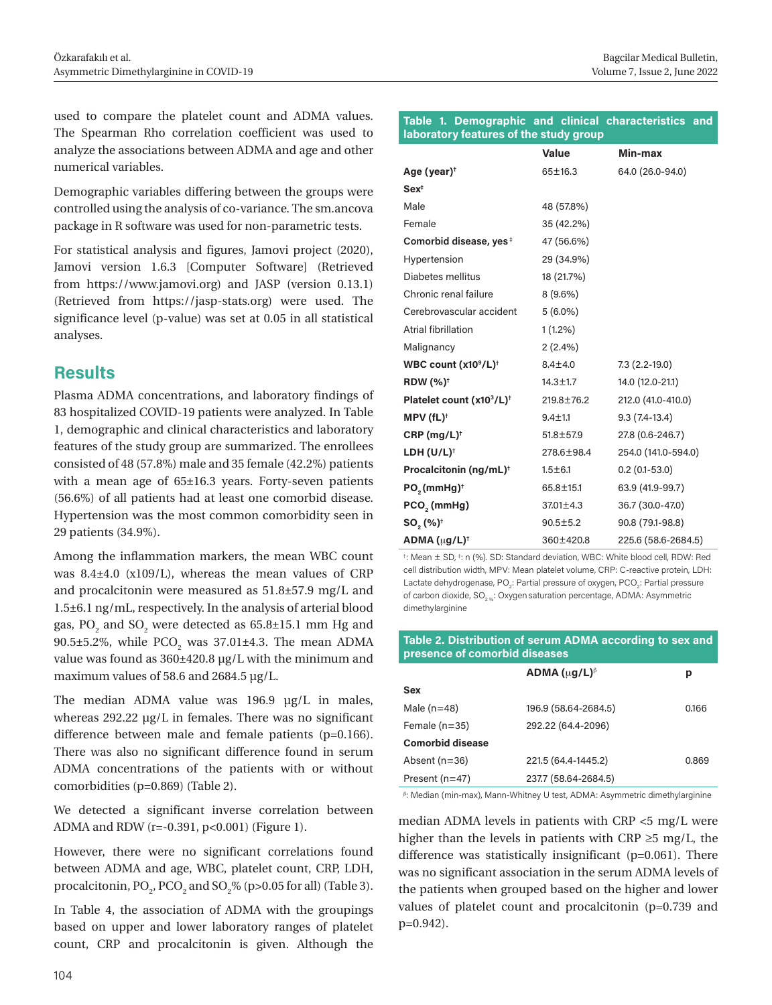used to compare the platelet count and ADMA values. The Spearman Rho correlation coefficient was used to analyze the associations between ADMA and age and other numerical variables.

Demographic variables differing between the groups were controlled using the analysis of co-variance. The sm.ancova package in R software was used for non-parametric tests.

For statistical analysis and figures, Jamovi project (2020), Jamovi version 1.6.3 [Computer Software] (Retrieved from https://www.jamovi.org) and JASP (version 0.13.1) (Retrieved from https://jasp-stats.org) were used. The significance level (p-value) was set at 0.05 in all statistical analyses.

### **Results**

Plasma ADMA concentrations, and laboratory findings of 83 hospitalized COVID-19 patients were analyzed. In Table 1, demographic and clinical characteristics and laboratory features of the study group are summarized. The enrollees consisted of 48 (57.8%) male and 35 female (42.2%) patients with a mean age of 65±16.3 years. Forty-seven patients (56.6%) of all patients had at least one comorbid disease. Hypertension was the most common comorbidity seen in 29 patients (34.9%).

Among the inflammation markers, the mean WBC count was 8.4±4.0 (x109/L), whereas the mean values of CRP and procalcitonin were measured as 51.8±57.9 mg/L and 1.5±6.1 ng/mL, respectively. In the analysis of arterial blood gas,  $PO_2$  and  $SO_2$  were detected as 65.8±15.1 mm Hg and 90.5±5.2%, while  $PCO_2$  was 37.01±4.3. The mean ADMA value was found as 360±420.8 μg/L with the minimum and maximum values of 58.6 and 2684.5 μg/L.

The median ADMA value was 196.9 μg/L in males, whereas 292.22 μg/L in females. There was no significant difference between male and female patients (p=0.166). There was also no significant difference found in serum ADMA concentrations of the patients with or without comorbidities (p=0.869) (Table 2).

We detected a significant inverse correlation between ADMA and RDW (r=-0.391, p<0.001) (Figure 1).

However, there were no significant correlations found between ADMA and age, WBC, platelet count, CRP, LDH, procalcitonin,  $PO_2$ ,  $PCO_2$  and  $SO_2\%$  (p>0.05 for all) (Table 3).

In Table 4, the association of ADMA with the groupings based on upper and lower laboratory ranges of platelet count, CRP and procalcitonin is given. Although the

#### **Table 1. Demographic and clinical characteristics and laboratory features of the study group**

|                                              | Value           | Min-max             |
|----------------------------------------------|-----------------|---------------------|
| Age (year) <sup>†</sup>                      | 65±16.3         | 64.0 (26.0-94.0)    |
| Sex <sup>†</sup>                             |                 |                     |
| Male                                         | 48 (57.8%)      |                     |
| Female                                       | 35 (42.2%)      |                     |
| Comorbid disease, yes <sup>#</sup>           | 47 (56.6%)      |                     |
| Hypertension                                 | 29 (34.9%)      |                     |
| Diabetes mellitus                            | 18 (21.7%)      |                     |
| Chronic renal failure                        | $8(9.6\%)$      |                     |
| Cerebrovascular accident                     | $5(6.0\%)$      |                     |
| <b>Atrial fibrillation</b>                   | $1(1.2\%)$      |                     |
| Malignancy                                   | 2(2.4%)         |                     |
| WBC count (x10 <sup>9</sup> /L) <sup>t</sup> | $8.4 \pm 4.0$   | 7.3 (2.2-19.0)      |
| <b>RDW</b> (%) <sup>+</sup>                  | 14.3±1.7        | 14.0 (12.0-21.1)    |
| Platelet count (x103/L) <sup>+</sup>         | 219.8±76.2      | 212.0 (41.0-410.0)  |
| $MPV(fL)^{\dagger}$                          | $9.4 + 1.1$     | $9.3(7.4-13.4)$     |
| CRP (mg/L) <sup>†</sup>                      | $51.8 \pm 57.9$ | 27.8 (0.6-246.7)    |
| LDH $(U/L)^{\dagger}$                        | 278,6±98,4      | 254.0 (141.0-594.0) |
| Procalcitonin (ng/mL) <sup>+</sup>           | $1.5 \pm 6.1$   | $0.2(0.1-53.0)$     |
| PO <sub>2</sub> (mmHg) <sup>†</sup>          | 65.8±15.1       | 63.9 (41.9-99.7)    |
| $PCO2$ (mmHg)                                | 37.01±4.3       | 36.7 (30.0-47.0)    |
| $SO_{2}(%)^{+}$                              | $90.5 \pm 5.2$  | 90.8 (79.1-98.8)    |
| ADMA (µg/L) <sup>†</sup>                     | 360±420.8       | 225.6 (58.6-2684.5) |

† : Mean ± SD, ‡ : n (%). SD: Standard deviation, WBC: White blood cell, RDW: Red cell distribution width, MPV: Mean platelet volume, CRP: C-reactive protein, LDH: Lactate dehydrogenase, PO<sub>2</sub>: Partial pressure of oxygen, PCO<sub>2</sub>: Partial pressure of carbon dioxide, SO<sub>2 %</sub>: Oxygen saturation percentage, ADMA: Asymmetric dimethylarginine

#### **Table 2. Distribution of serum ADMA according to sex and presence of comorbid diseases**

|                  | ADMA $(uq/L)$ <sup><math>\beta</math></sup> | р     |
|------------------|---------------------------------------------|-------|
| <b>Sex</b>       |                                             |       |
| Male $(n=48)$    | 196.9 (58.64-2684.5)                        | 0.166 |
| Female $(n=35)$  | 292.22 (64.4-2096)                          |       |
| Comorbid disease |                                             |       |
| Absent $(n=36)$  | 221.5 (64.4-1445.2)                         | 0.869 |
| Present $(n=47)$ | 237.7 (58.64-2684.5)                        |       |

β : Median (min-max), Mann-Whitney U test, ADMA: Asymmetric dimethylarginine

median ADMA levels in patients with CRP <5 mg/L were higher than the levels in patients with CRP ≥5 mg/L, the difference was statistically insignificant (p=0.061). There was no significant association in the serum ADMA levels of the patients when grouped based on the higher and lower values of platelet count and procalcitonin (p=0.739 and p=0.942).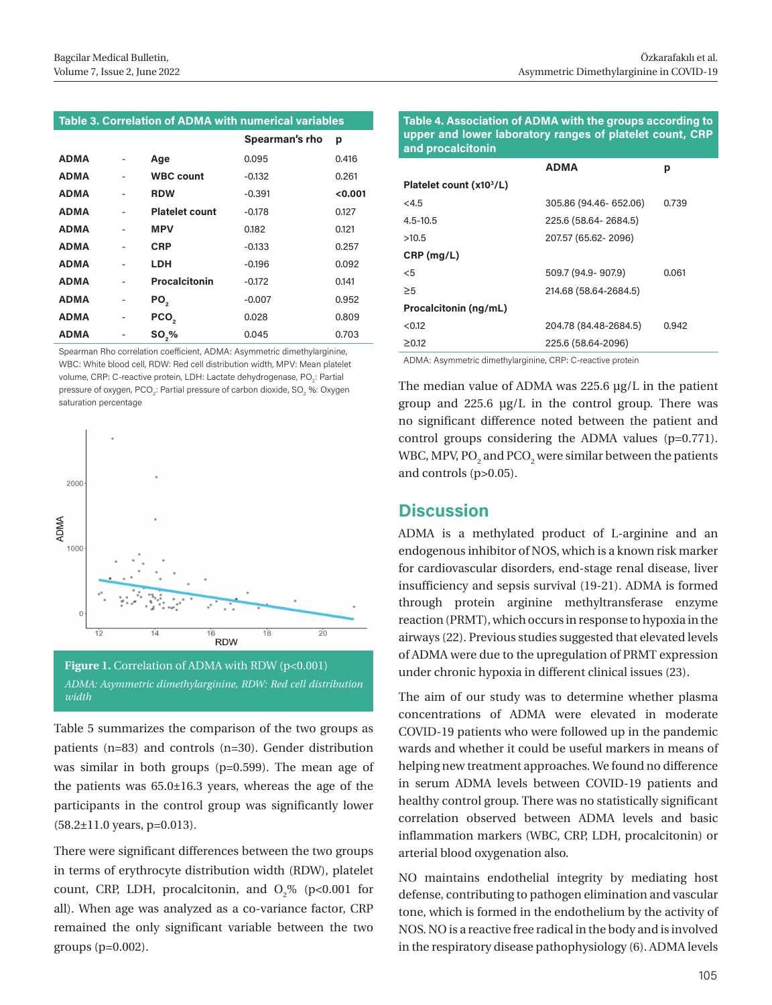#### **Table 3. Correlation of ADMA with numerical variables**

|             |   |                       | Spearman's rho | р     |
|-------------|---|-----------------------|----------------|-------|
| <b>ADMA</b> |   | Age                   | 0.095          | 0.416 |
| <b>ADMA</b> |   | <b>WBC count</b>      | $-0.132$       | 0.261 |
| <b>ADMA</b> |   | <b>RDW</b>            | $-0.391$       | 0.001 |
| <b>ADMA</b> |   | <b>Platelet count</b> | $-0.178$       | 0.127 |
| <b>ADMA</b> |   | <b>MPV</b>            | 0.182          | 0.121 |
| <b>ADMA</b> |   | <b>CRP</b>            | $-0.133$       | 0.257 |
| <b>ADMA</b> |   | LDH                   | $-0.196$       | 0.092 |
| <b>ADMA</b> |   | <b>Procalcitonin</b>  | $-0.172$       | 0.141 |
| <b>ADMA</b> |   | PO <sub>2</sub>       | $-0.007$       | 0.952 |
| <b>ADMA</b> | - | PCO <sub>2</sub>      | 0.028          | 0.809 |
| <b>ADMA</b> |   | <b>SO,%</b>           | 0.045          | 0.703 |

Spearman Rho correlation coefficient, ADMA: Asymmetric dimethylarginine, WBC: White blood cell, RDW: Red cell distribution width, MPV: Mean platelet volume, CRP: C-reactive protein, LDH: Lactate dehydrogenase, PO<sub>2</sub>: Partial pressure of oxygen, PCO $_2$ : Partial pressure of carbon dioxide, SO $_2$  %: Oxygen saturation percentage



Table 5 summarizes the comparison of the two groups as patients (n=83) and controls (n=30). Gender distribution was similar in both groups (p=0.599). The mean age of the patients was 65.0±16.3 years, whereas the age of the participants in the control group was significantly lower (58.2±11.0 years, p=0.013).

There were significant differences between the two groups in terms of erythrocyte distribution width (RDW), platelet count, CRP, LDH, procalcitonin, and  $O_2\%$  (p<0.001 for all). When age was analyzed as a co-variance factor, CRP remained the only significant variable between the two groups (p=0.002).

**Table 4. Association of ADMA with the groups according to upper and lower laboratory ranges of platelet count, CRP and procalcitonin**

|                                      | <b>ADMA</b>            | р     |
|--------------------------------------|------------------------|-------|
| Platelet count (x10 <sup>3</sup> /L) |                        |       |
| <4.5                                 | 305.86 (94.46- 652.06) | 0.739 |
| $4.5 - 10.5$                         | 225.6 (58.64 - 2684.5) |       |
| >10.5                                | 207.57 (65.62-2096)    |       |
| $CRP$ (mg/L)                         |                        |       |
| $<$ 5                                | 509.7 (94.9-907.9)     | 0.061 |
| $\geq 5$                             | 214.68 (58.64-2684.5)  |       |
| Procalcitonin (ng/mL)                |                        |       |
| < 0.12                               | 204.78 (84.48-2684.5)  | 0.942 |
| $\geq 0.12$                          | 225.6 (58.64-2096)     |       |

ADMA: Asymmetric dimethylarginine, CRP: C-reactive protein

The median value of ADMA was 225.6 μg/L in the patient group and 225.6 μg/L in the control group. There was no significant difference noted between the patient and control groups considering the ADMA values (p=0.771). WBC, MPV, PO $_2$  and PCO $_2$  were similar between the patients and controls (p>0.05).

#### **Discussion**

ADMA is a methylated product of L-arginine and an endogenous inhibitor of NOS, which is a known risk marker for cardiovascular disorders, end-stage renal disease, liver insufficiency and sepsis survival (19-21). ADMA is formed through protein arginine methyltransferase enzyme reaction (PRMT), which occurs in response to hypoxia in the airways (22). Previous studies suggested that elevated levels of ADMA were due to the upregulation of PRMT expression under chronic hypoxia in different clinical issues (23).

The aim of our study was to determine whether plasma concentrations of ADMA were elevated in moderate COVID-19 patients who were followed up in the pandemic wards and whether it could be useful markers in means of helping new treatment approaches. We found no difference in serum ADMA levels between COVID-19 patients and healthy control group. There was no statistically significant correlation observed between ADMA levels and basic inflammation markers (WBC, CRP, LDH, procalcitonin) or arterial blood oxygenation also.

NO maintains endothelial integrity by mediating host defense, contributing to pathogen elimination and vascular tone, which is formed in the endothelium by the activity of NOS. NO is a reactive free radical in the body and is involved in the respiratory disease pathophysiology (6). ADMA levels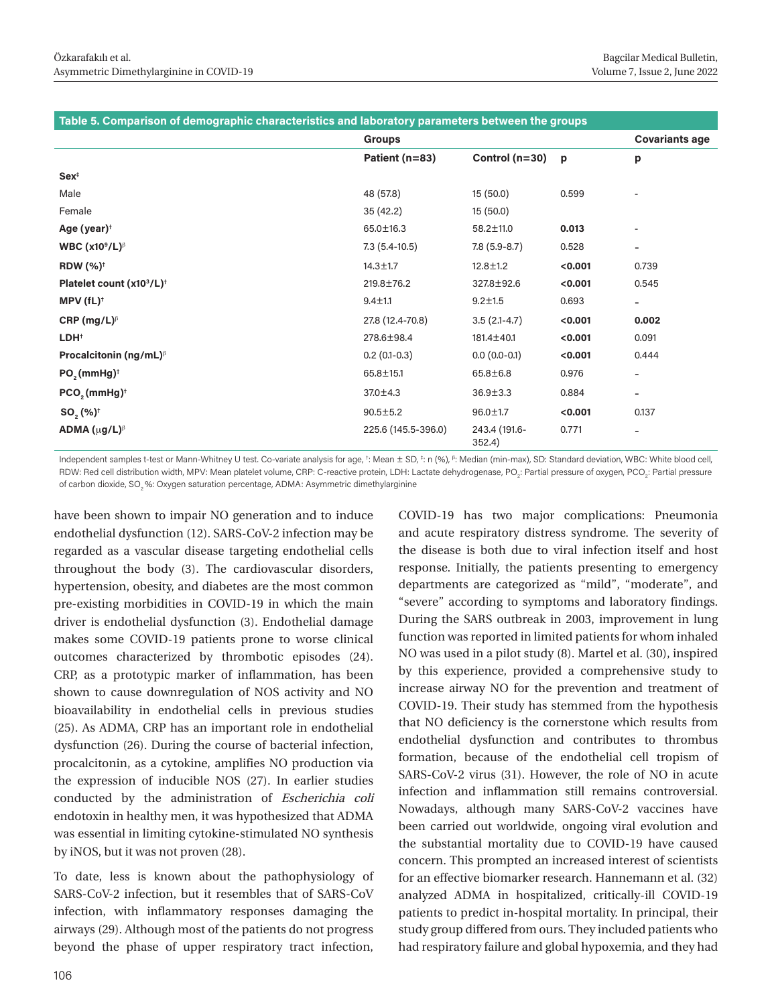| Table 5. Comparison of demographic characteristics and laboratory parameters between the groups |                     |                         |         |                          |
|-------------------------------------------------------------------------------------------------|---------------------|-------------------------|---------|--------------------------|
|                                                                                                 | <b>Groups</b>       |                         |         | <b>Covariants age</b>    |
|                                                                                                 | Patient (n=83)      | Control $(n=30)$        | p       | p                        |
| Sex <sup>†</sup>                                                                                |                     |                         |         |                          |
| Male                                                                                            | 48 (57.8)           | 15(50.0)                | 0.599   |                          |
| Female                                                                                          | 35(42.2)            | 15(50.0)                |         |                          |
| Age (year) $†$                                                                                  | 65.0±16.3           | 58.2±11.0               | 0.013   | $\overline{\phantom{a}}$ |
| WBC $(x10^9/L)$ <sup><math>\beta</math></sup>                                                   | $7.3(5.4-10.5)$     | $7.8(5.9-8.7)$          | 0.528   | $\overline{\phantom{a}}$ |
| <b>RDW</b> (%) <sup>+</sup>                                                                     | $14.3 \pm 1.7$      | $12.8 \pm 1.2$          | < 0.001 | 0.739                    |
| Platelet count (x10 <sup>3</sup> /L) <sup>+</sup>                                               | 219,8±76.2          | 327,8±92,6              | < 0.001 | 0.545                    |
| $MPV(fL)^{\dagger}$                                                                             | $9.4 + 1.1$         | $9.2 \pm 1.5$           | 0.693   | $\overline{\phantom{a}}$ |
| CRP (mg/L) $\beta$                                                                              | 27.8 (12.4-70.8)    | $3.5(2.1-4.7)$          | < 0.001 | 0.002                    |
| LDH <sup>+</sup>                                                                                | 278.6±98.4          | 181.4±40.1              | < 0.001 | 0.091                    |
| Procalcitonin (ng/mL) <sup><math>\beta</math></sup>                                             | $0.2(0.1-0.3)$      | $0.0(0.0-0.1)$          | < 0.001 | 0.444                    |
| PO <sub>2</sub> (mmHg) <sup>+</sup>                                                             | 65.8±15.1           | 65.8±6.8                | 0.976   | $\overline{\phantom{a}}$ |
| $PCO, (mmHg)^{+}$                                                                               | $37.0 \pm 4.3$      | $36.9 \pm 3.3$          | 0.884   | $\overline{\phantom{a}}$ |
| $SO_{2}(%)^{+}$                                                                                 | $90.5 \pm 5.2$      | 96.0±1.7                | < 0.001 | 0.137                    |
| ADMA $(\mu g/L)^{\beta}$                                                                        | 225.6 (145.5-396.0) | 243.4 (191.6-<br>352.4) | 0.771   | $\overline{\phantom{a}}$ |

Independent samples t-test or Mann-Whitney U test. Co-variate analysis for age, †: Mean ± SD, ‡: n (%), β: Median (min-max), SD: Standard deviation, WBC: White blood cell, RDW: Red cell distribution width, MPV: Mean platelet volume, CRP: C-reactive protein, LDH: Lactate dehydrogenase, PO $_{_2}$ : Partial pressure of oxygen, PCO $_{_2}$ : Partial pressure of carbon dioxide, SO<sub>2</sub>%: Oxygen saturation percentage, ADMA: Asymmetric dimethylarginine

have been shown to impair NO generation and to induce endothelial dysfunction (12). SARS-CoV-2 infection may be regarded as a vascular disease targeting endothelial cells throughout the body (3). The cardiovascular disorders, hypertension, obesity, and diabetes are the most common pre-existing morbidities in COVID-19 in which the main driver is endothelial dysfunction (3). Endothelial damage makes some COVID-19 patients prone to worse clinical outcomes characterized by thrombotic episodes (24). CRP, as a prototypic marker of inflammation, has been shown to cause downregulation of NOS activity and NO bioavailability in endothelial cells in previous studies (25). As ADMA, CRP has an important role in endothelial dysfunction (26). During the course of bacterial infection, procalcitonin, as a cytokine, amplifies NO production via the expression of inducible NOS (27). In earlier studies conducted by the administration of Escherichia coli endotoxin in healthy men, it was hypothesized that ADMA was essential in limiting cytokine-stimulated NO synthesis by iNOS, but it was not proven (28).

To date, less is known about the pathophysiology of SARS-CoV-2 infection, but it resembles that of SARS-CoV infection, with inflammatory responses damaging the airways (29). Although most of the patients do not progress beyond the phase of upper respiratory tract infection,

COVID-19 has two major complications: Pneumonia and acute respiratory distress syndrome. The severity of the disease is both due to viral infection itself and host response. Initially, the patients presenting to emergency departments are categorized as "mild", "moderate", and "severe" according to symptoms and laboratory findings. During the SARS outbreak in 2003, improvement in lung function was reported in limited patients for whom inhaled NO was used in a pilot study (8). Martel et al. (30), inspired by this experience, provided a comprehensive study to increase airway NO for the prevention and treatment of COVID-19. Their study has stemmed from the hypothesis that NO deficiency is the cornerstone which results from endothelial dysfunction and contributes to thrombus formation, because of the endothelial cell tropism of SARS-CoV-2 virus (31). However, the role of NO in acute infection and inflammation still remains controversial. Nowadays, although many SARS-CoV-2 vaccines have been carried out worldwide, ongoing viral evolution and the substantial mortality due to COVID-19 have caused concern. This prompted an increased interest of scientists for an effective biomarker research. Hannemann et al. (32) analyzed ADMA in hospitalized, critically-ill COVID-19 patients to predict in-hospital mortality. In principal, their study group differed from ours. They included patients who had respiratory failure and global hypoxemia, and they had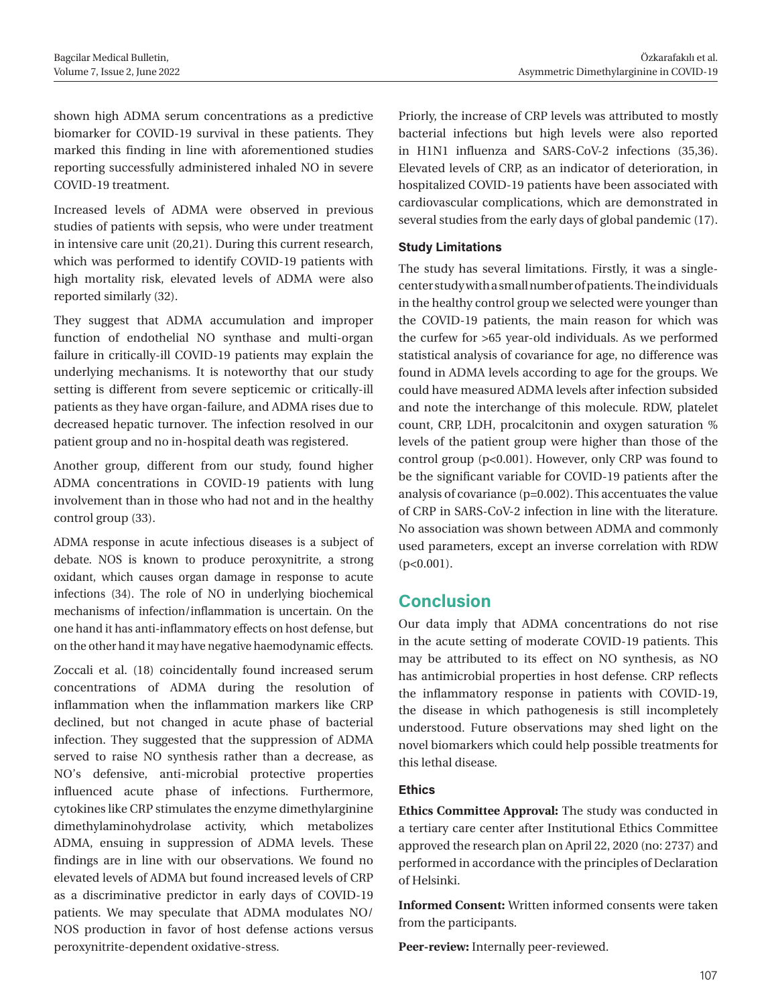shown high ADMA serum concentrations as a predictive biomarker for COVID-19 survival in these patients. They marked this finding in line with aforementioned studies reporting successfully administered inhaled NO in severe COVID-19 treatment.

Increased levels of ADMA were observed in previous studies of patients with sepsis, who were under treatment in intensive care unit (20,21). During this current research, which was performed to identify COVID-19 patients with high mortality risk, elevated levels of ADMA were also reported similarly (32).

They suggest that ADMA accumulation and improper function of endothelial NO synthase and multi-organ failure in critically-ill COVID-19 patients may explain the underlying mechanisms. It is noteworthy that our study setting is different from severe septicemic or critically-ill patients as they have organ-failure, and ADMA rises due to decreased hepatic turnover. The infection resolved in our patient group and no in-hospital death was registered.

Another group, different from our study, found higher ADMA concentrations in COVID-19 patients with lung involvement than in those who had not and in the healthy control group (33).

ADMA response in acute infectious diseases is a subject of debate. NOS is known to produce peroxynitrite, a strong oxidant, which causes organ damage in response to acute infections (34). The role of NO in underlying biochemical mechanisms of infection/inflammation is uncertain. On the one hand it has anti-inflammatory effects on host defense, but on the other hand it may have negative haemodynamic effects.

Zoccali et al. (18) coincidentally found increased serum concentrations of ADMA during the resolution of inflammation when the inflammation markers like CRP declined, but not changed in acute phase of bacterial infection. They suggested that the suppression of ADMA served to raise NO synthesis rather than a decrease, as NO's defensive, anti-microbial protective properties influenced acute phase of infections. Furthermore, cytokines like CRP stimulates the enzyme dimethylarginine dimethylaminohydrolase activity, which metabolizes ADMA, ensuing in suppression of ADMA levels. These findings are in line with our observations. We found no elevated levels of ADMA but found increased levels of CRP as a discriminative predictor in early days of COVID-19 patients. We may speculate that ADMA modulates NO/ NOS production in favor of host defense actions versus peroxynitrite-dependent oxidative-stress.

Priorly, the increase of CRP levels was attributed to mostly bacterial infections but high levels were also reported in H1N1 influenza and SARS-CoV-2 infections (35,36). Elevated levels of CRP, as an indicator of deterioration, in hospitalized COVID-19 patients have been associated with cardiovascular complications, which are demonstrated in several studies from the early days of global pandemic (17).

#### **Study Limitations**

The study has several limitations. Firstly, it was a singlecenter study with a small number of patients. The individuals in the healthy control group we selected were younger than the COVID-19 patients, the main reason for which was the curfew for >65 year-old individuals. As we performed statistical analysis of covariance for age, no difference was found in ADMA levels according to age for the groups. We could have measured ADMA levels after infection subsided and note the interchange of this molecule. RDW, platelet count, CRP, LDH, procalcitonin and oxygen saturation % levels of the patient group were higher than those of the control group (p<0.001). However, only CRP was found to be the significant variable for COVID-19 patients after the analysis of covariance (p=0.002). This accentuates the value of CRP in SARS-CoV-2 infection in line with the literature. No association was shown between ADMA and commonly used parameters, except an inverse correlation with RDW  $(p<0.001)$ .

#### **Conclusion**

Our data imply that ADMA concentrations do not rise in the acute setting of moderate COVID-19 patients. This may be attributed to its effect on NO synthesis, as NO has antimicrobial properties in host defense. CRP reflects the inflammatory response in patients with COVID-19, the disease in which pathogenesis is still incompletely understood. Future observations may shed light on the novel biomarkers which could help possible treatments for this lethal disease.

#### **Ethics**

**Ethics Committee Approval:** The study was conducted in a tertiary care center after Institutional Ethics Committee approved the research plan on April 22, 2020 (no: 2737) and performed in accordance with the principles of Declaration of Helsinki.

**Informed Consent:** Written informed consents were taken from the participants.

**Peer-review:** Internally peer-reviewed.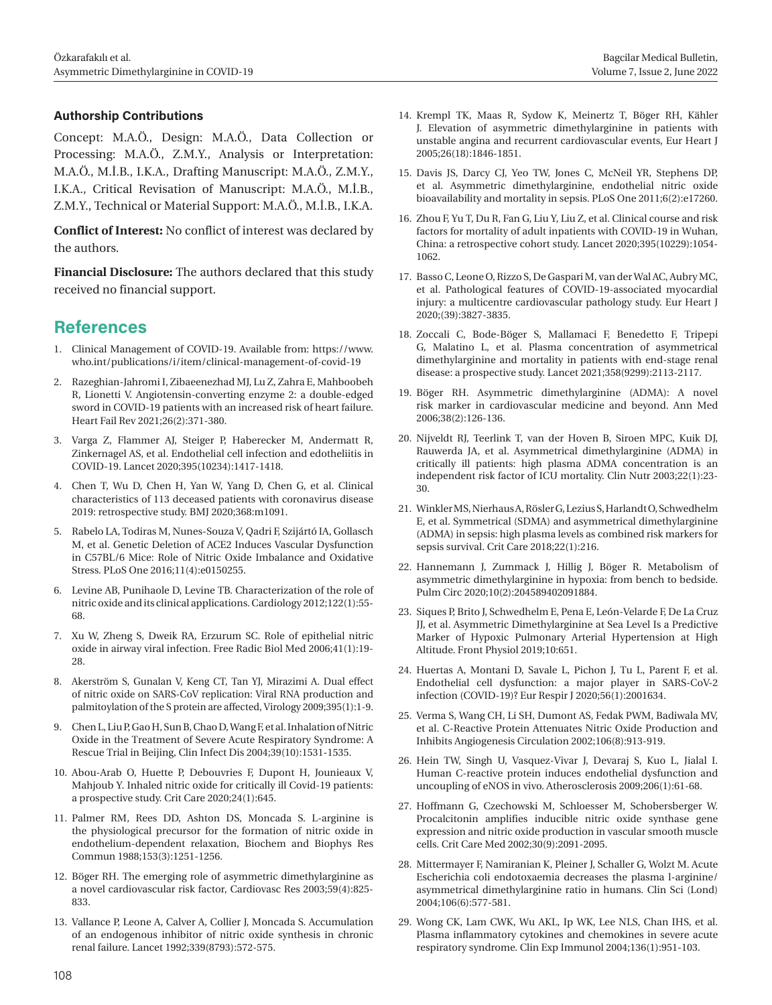#### **Authorship Contributions**

Concept: M.A.Ö., Design: M.A.Ö., Data Collection or Processing: M.A.Ö., Z.M.Y., Analysis or Interpretation: M.A.Ö., M.İ.B., I.K.A., Drafting Manuscript: M.A.Ö., Z.M.Y., I.K.A., Critical Revisation of Manuscript: M.A.Ö., M.İ.B., Z.M.Y., Technical or Material Support: M.A.Ö., M.İ.B., I.K.A.

**Conflict of Interest:** No conflict of interest was declared by the authors.

**Financial Disclosure:** The authors declared that this study received no financial support.

### **References**

- 1. Clinical Management of COVID-19. Available from: https://www. who.int/publications/i/item/clinical-management-of-covid-19
- 2. Razeghian-Jahromi I, Zibaeenezhad MJ, Lu Z, Zahra E, Mahboobeh R, Lionetti V. Angiotensin-converting enzyme 2: a double-edged sword in COVID-19 patients with an increased risk of heart failure. Heart Fail Rev 2021;26(2):371-380.
- 3. Varga Z, Flammer AJ, Steiger P, Haberecker M, Andermatt R, Zinkernagel AS, et al. Endothelial cell infection and edotheliitis in COVID-19. Lancet 2020;395(10234):1417-1418.
- 4. Chen T, Wu D, Chen H, Yan W, Yang D, Chen G, et al. Clinical characteristics of 113 deceased patients with coronavirus disease 2019: retrospective study. BMJ 2020;368:m1091.
- 5. Rabelo LA, Todiras M, Nunes-Souza V, Qadri F, Szijártó IA, Gollasch M, et al. Genetic Deletion of ACE2 Induces Vascular Dysfunction in C57BL/6 Mice: Role of Nitric Oxide Imbalance and Oxidative Stress. PLoS One 2016;11(4):e0150255.
- 6. Levine AB, Punihaole D, Levine TB. Characterization of the role of nitric oxide and its clinical applications. Cardiology 2012;122(1):55- 68.
- 7. Xu W, Zheng S, Dweik RA, Erzurum SC. Role of epithelial nitric oxide in airway viral infection. Free Radic Biol Med 2006;41(1):19- 28.
- 8. Akerström S, Gunalan V, Keng CT, Tan YJ, Mirazimi A. Dual effect of nitric oxide on SARS-CoV replication: Viral RNA production and palmitoylation of the S protein are affected, Virology 2009;395(1):1-9.
- 9. Chen L, Liu P, Gao H, Sun B, Chao D, Wang F, et al. Inhalation of Nitric Oxide in the Treatment of Severe Acute Respiratory Syndrome: A Rescue Trial in Beijing, Clin Infect Dis 2004;39(10):1531-1535.
- 10. Abou-Arab O, Huette P, Debouvries F, Dupont H, Jounieaux V, Mahjoub Y. Inhaled nitric oxide for critically ill Covid-19 patients: a prospective study. Crit Care 2020;24(1):645.
- 11. Palmer RM, Rees DD, Ashton DS, Moncada S. L-arginine is the physiological precursor for the formation of nitric oxide in endothelium-dependent relaxation, Biochem and Biophys Res Commun 1988;153(3):1251-1256.
- 12. Böger RH. The emerging role of asymmetric dimethylarginine as a novel cardiovascular risk factor, Cardiovasc Res 2003;59(4):825- 833.
- 13. Vallance P, Leone A, Calver A, Collier J, Moncada S. Accumulation of an endogenous inhibitor of nitric oxide synthesis in chronic renal failure. Lancet 1992;339(8793):572-575.
- 14. Krempl TK, Maas R, Sydow K, Meinertz T, Böger RH, Kähler J. Elevation of asymmetric dimethylarginine in patients with unstable angina and recurrent cardiovascular events, Eur Heart J 2005;26(18):1846-1851.
- 15. Davis JS, Darcy CJ, Yeo TW, Jones C, McNeil YR, Stephens DP, et al. Asymmetric dimethylarginine, endothelial nitric oxide bioavailability and mortality in sepsis. PLoS One 2011;6(2):e17260.
- 16. Zhou F, Yu T, Du R, Fan G, Liu Y, Liu Z, et al. Clinical course and risk factors for mortality of adult inpatients with COVID-19 in Wuhan, China: a retrospective cohort study. Lancet 2020;395(10229):1054- 1062.
- 17. Basso C, Leone O, Rizzo S, De Gaspari M, van der Wal AC, Aubry MC, et al. Pathological features of COVID-19-associated myocardial injury: a multicentre cardiovascular pathology study. Eur Heart J 2020;(39):3827-3835.
- 18. Zoccali C, Bode-Böger S, Mallamaci F, Benedetto F, Tripepi G, Malatino L, et al. Plasma concentration of asymmetrical dimethylarginine and mortality in patients with end-stage renal disease: a prospective study. Lancet 2021;358(9299):2113-2117.
- 19. Böger RH. Asymmetric dimethylarginine (ADMA): A novel risk marker in cardiovascular medicine and beyond. Ann Med 2006;38(2):126-136.
- 20. Nijveldt RJ, Teerlink T, van der Hoven B, Siroen MPC, Kuik DJ, Rauwerda JA, et al. Asymmetrical dimethylarginine (ADMA) in critically ill patients: high plasma ADMA concentration is an independent risk factor of ICU mortality. Clin Nutr 2003;22(1):23- 30.
- 21. Winkler MS, Nierhaus A, Rösler G, Lezius S, Harlandt O, Schwedhelm E, et al. Symmetrical (SDMA) and asymmetrical dimethylarginine (ADMA) in sepsis: high plasma levels as combined risk markers for sepsis survival. Crit Care 2018;22(1):216.
- 22. Hannemann J, Zummack J, Hillig J, Böger R. Metabolism of asymmetric dimethylarginine in hypoxia: from bench to bedside. Pulm Circ 2020;10(2):204589402091884.
- 23. Siques P, Brito J, Schwedhelm E, Pena E, León-Velarde F, De La Cruz JJ, et al. Asymmetric Dimethylarginine at Sea Level Is a Predictive Marker of Hypoxic Pulmonary Arterial Hypertension at High Altitude. Front Physiol 2019;10:651.
- 24. Huertas A, Montani D, Savale L, Pichon J, Tu L, Parent F, et al. Endothelial cell dysfunction: a major player in SARS-CoV-2 infection (COVID-19)? Eur Respir J 2020;56(1):2001634.
- 25. Verma S, Wang CH, Li SH, Dumont AS, Fedak PWM, Badiwala MV, et al. C-Reactive Protein Attenuates Nitric Oxide Production and Inhibits Angiogenesis Circulation 2002;106(8):913-919.
- 26. Hein TW, Singh U, Vasquez-Vivar J, Devaraj S, Kuo L, Jialal I. Human C-reactive protein induces endothelial dysfunction and uncoupling of eNOS in vivo. Atherosclerosis 2009;206(1):61-68.
- 27. Hoffmann G, Czechowski M, Schloesser M, Schobersberger W. Procalcitonin amplifies inducible nitric oxide synthase gene expression and nitric oxide production in vascular smooth muscle cells. Crit Care Med 2002;30(9):2091-2095.
- 28. Mittermayer F, Namiranian K, Pleiner J, Schaller G, Wolzt M. Acute Escherichia coli endotoxaemia decreases the plasma l-arginine/ asymmetrical dimethylarginine ratio in humans. Clin Sci (Lond) 2004;106(6):577-581.
- 29. Wong CK, Lam CWK, Wu AKL, Ip WK, Lee NLS, Chan IHS, et al. Plasma inflammatory cytokines and chemokines in severe acute respiratory syndrome. Clin Exp Immunol 2004;136(1):951-103.